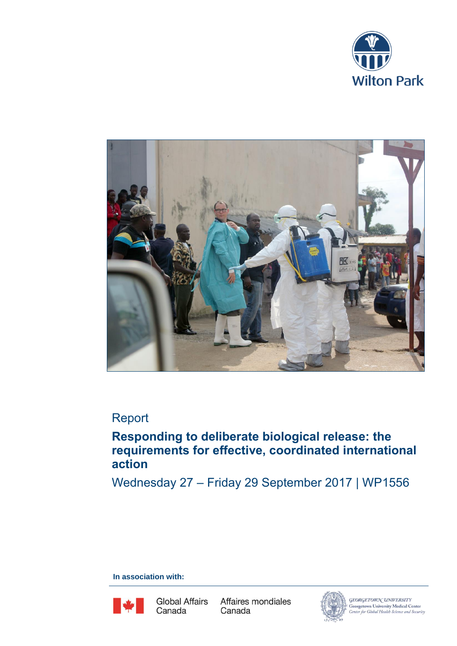



# Report

# **Responding to deliberate biological release: the requirements for effective, coordinated international action**

Wednesday 27 – Friday 29 September 2017 | WP1556

**In association with:**



Global Affairs Canada

Affaires mondiales Canada



Georgetown University Medical Center<br>Center for Global Health Science and Security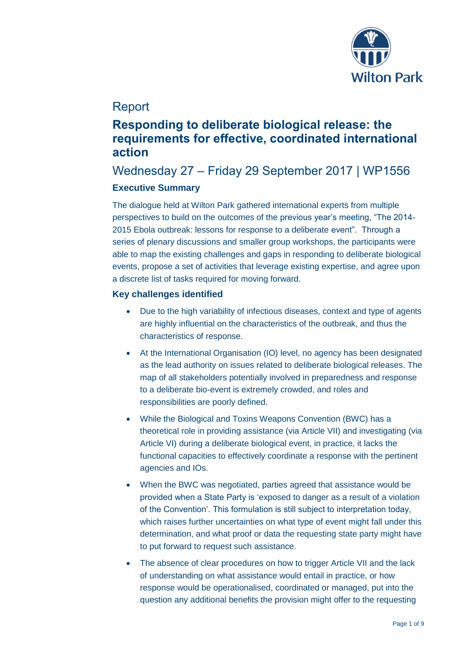

# Report

# **Responding to deliberate biological release: the requirements for effective, coordinated international action**

# Wednesday 27 – Friday 29 September 2017 | WP1556 **Executive Summary**

The dialogue held at Wilton Park gathered international experts from multiple perspectives to build on the outcomes of the previous year's meeting, "The 2014- 2015 Ebola outbreak: lessons for response to a deliberate event". Through a series of plenary discussions and smaller group workshops, the participants were able to map the existing challenges and gaps in responding to deliberate biological events, propose a set of activities that leverage existing expertise, and agree upon a discrete list of tasks required for moving forward.

## **Key challenges identified**

- Due to the high variability of infectious diseases, context and type of agents are highly influential on the characteristics of the outbreak, and thus the characteristics of response.
- At the International Organisation (IO) level, no agency has been designated as the lead authority on issues related to deliberate biological releases. The map of all stakeholders potentially involved in preparedness and response to a deliberate bio-event is extremely crowded, and roles and responsibilities are poorly defined.
- While the Biological and Toxins Weapons Convention (BWC) has a theoretical role in providing assistance (via Article VII) and investigating (via Article VI) during a deliberate biological event, in practice, it lacks the functional capacities to effectively coordinate a response with the pertinent agencies and IOs.
- When the BWC was negotiated, parties agreed that assistance would be provided when a State Party is 'exposed to danger as a result of a violation of the Convention'. This formulation is still subject to interpretation today, which raises further uncertainties on what type of event might fall under this determination, and what proof or data the requesting state party might have to put forward to request such assistance.
- The absence of clear procedures on how to trigger Article VII and the lack of understanding on what assistance would entail in practice, or how response would be operationalised, coordinated or managed, put into the question any additional benefits the provision might offer to the requesting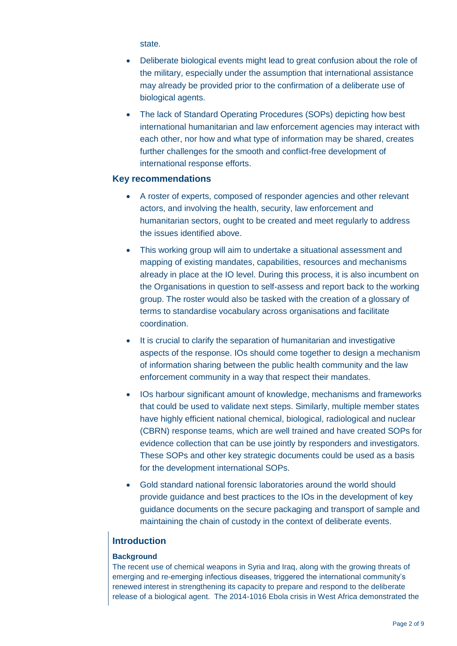state.

- Deliberate biological events might lead to great confusion about the role of the military, especially under the assumption that international assistance may already be provided prior to the confirmation of a deliberate use of biological agents.
- The lack of Standard Operating Procedures (SOPs) depicting how best international humanitarian and law enforcement agencies may interact with each other, nor how and what type of information may be shared, creates further challenges for the smooth and conflict-free development of international response efforts.

## **Key recommendations**

- A roster of experts, composed of responder agencies and other relevant actors, and involving the health, security, law enforcement and humanitarian sectors, ought to be created and meet regularly to address the issues identified above.
- This working group will aim to undertake a situational assessment and mapping of existing mandates, capabilities, resources and mechanisms already in place at the IO level. During this process, it is also incumbent on the Organisations in question to self-assess and report back to the working group. The roster would also be tasked with the creation of a glossary of terms to standardise vocabulary across organisations and facilitate coordination.
- It is crucial to clarify the separation of humanitarian and investigative aspects of the response. IOs should come together to design a mechanism of information sharing between the public health community and the law enforcement community in a way that respect their mandates.
- IOs harbour significant amount of knowledge, mechanisms and frameworks that could be used to validate next steps. Similarly, multiple member states have highly efficient national chemical, biological, radiological and nuclear (CBRN) response teams, which are well trained and have created SOPs for evidence collection that can be use jointly by responders and investigators. These SOPs and other key strategic documents could be used as a basis for the development international SOPs.
- Gold standard national forensic laboratories around the world should provide guidance and best practices to the IOs in the development of key guidance documents on the secure packaging and transport of sample and maintaining the chain of custody in the context of deliberate events.

## **Introduction**

## **Background**

The recent use of chemical weapons in Syria and Iraq, along with the growing threats of emerging and re-emerging infectious diseases, triggered the international community's renewed interest in strengthening its capacity to prepare and respond to the deliberate release of a biological agent. The 2014-1016 Ebola crisis in West Africa demonstrated the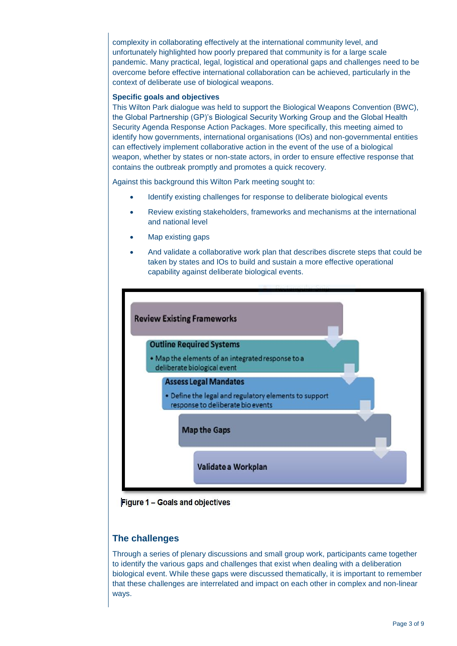complexity in collaborating effectively at the international community level, and unfortunately highlighted how poorly prepared that community is for a large scale pandemic. Many practical, legal, logistical and operational gaps and challenges need to be overcome before effective international collaboration can be achieved, particularly in the context of deliberate use of biological weapons.

#### **Specific goals and objectives**

This Wilton Park dialogue was held to support the Biological Weapons Convention (BWC), the Global Partnership (GP)'s Biological Security Working Group and the Global Health Security Agenda Response Action Packages. More specifically, this meeting aimed to identify how governments, international organisations (IOs) and non-governmental entities can effectively implement collaborative action in the event of the use of a biological weapon, whether by states or non-state actors, in order to ensure effective response that contains the outbreak promptly and promotes a quick recovery.

Against this background this Wilton Park meeting sought to:

- Identify existing challenges for response to deliberate biological events
- Review existing stakeholders, frameworks and mechanisms at the international and national level
- Map existing gaps
- And validate a collaborative work plan that describes discrete steps that could be taken by states and IOs to build and sustain a more effective operational capability against deliberate biological events.



Figure 1 - Goals and objectives

## **The challenges**

Through a series of plenary discussions and small group work, participants came together to identify the various gaps and challenges that exist when dealing with a deliberation biological event. While these gaps were discussed thematically, it is important to remember that these challenges are interrelated and impact on each other in complex and non-linear ways.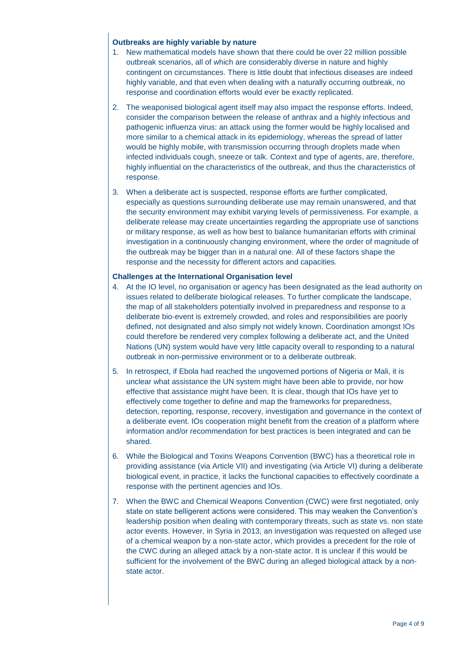## **Outbreaks are highly variable by nature**

- 1. New mathematical models have shown that there could be over 22 million possible outbreak scenarios, all of which are considerably diverse in nature and highly contingent on circumstances. There is little doubt that infectious diseases are indeed highly variable, and that even when dealing with a naturally occurring outbreak, no response and coordination efforts would ever be exactly replicated.
- 2. The weaponised biological agent itself may also impact the response efforts. Indeed, consider the comparison between the release of anthrax and a highly infectious and pathogenic influenza virus: an attack using the former would be highly localised and more similar to a chemical attack in its epidemiology, whereas the spread of latter would be highly mobile, with transmission occurring through droplets made when infected individuals cough, sneeze or talk. Context and type of agents, are, therefore, highly influential on the characteristics of the outbreak, and thus the characteristics of response.
- 3. When a deliberate act is suspected, response efforts are further complicated, especially as questions surrounding deliberate use may remain unanswered, and that the security environment may exhibit varying levels of permissiveness. For example, a deliberate release may create uncertainties regarding the appropriate use of sanctions or military response, as well as how best to balance humanitarian efforts with criminal investigation in a continuously changing environment, where the order of magnitude of the outbreak may be bigger than in a natural one. All of these factors shape the response and the necessity for different actors and capacities.

## **Challenges at the International Organisation level**

- 4. At the IO level, no organisation or agency has been designated as the lead authority on issues related to deliberate biological releases. To further complicate the landscape, the map of all stakeholders potentially involved in preparedness and response to a deliberate bio-event is extremely crowded, and roles and responsibilities are poorly defined, not designated and also simply not widely known. Coordination amongst IOs could therefore be rendered very complex following a deliberate act, and the United Nations (UN) system would have very little capacity overall to responding to a natural outbreak in non-permissive environment or to a deliberate outbreak.
- 5. In retrospect, if Ebola had reached the ungoverned portions of Nigeria or Mali, it is unclear what assistance the UN system might have been able to provide, nor how effective that assistance might have been. It is clear, though that IOs have yet to effectively come together to define and map the frameworks for preparedness, detection, reporting, response, recovery, investigation and governance in the context of a deliberate event. IOs cooperation might benefit from the creation of a platform where information and/or recommendation for best practices is been integrated and can be shared.
- 6. While the Biological and Toxins Weapons Convention (BWC) has a theoretical role in providing assistance (via Article VII) and investigating (via Article VI) during a deliberate biological event, in practice, it lacks the functional capacities to effectively coordinate a response with the pertinent agencies and IOs.
- 7. When the BWC and Chemical Weapons Convention (CWC) were first negotiated, only state on state belligerent actions were considered. This may weaken the Convention's leadership position when dealing with contemporary threats, such as state vs. non state actor events. However, in Syria in 2013, an investigation was requested on alleged use of a chemical weapon by a non-state actor, which provides a precedent for the role of the CWC during an alleged attack by a non-state actor. It is unclear if this would be sufficient for the involvement of the BWC during an alleged biological attack by a nonstate actor.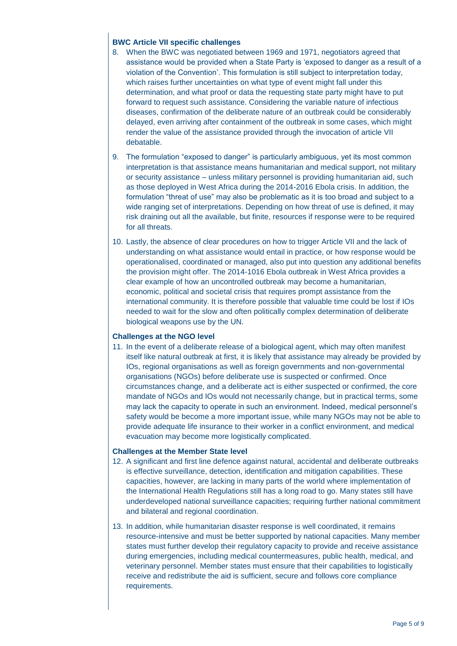## **BWC Article VII specific challenges**

- 8. When the BWC was negotiated between 1969 and 1971, negotiators agreed that assistance would be provided when a State Party is 'exposed to danger as a result of a violation of the Convention'. This formulation is still subject to interpretation today, which raises further uncertainties on what type of event might fall under this determination, and what proof or data the requesting state party might have to put forward to request such assistance. Considering the variable nature of infectious diseases, confirmation of the deliberate nature of an outbreak could be considerably delayed, even arriving after containment of the outbreak in some cases, which might render the value of the assistance provided through the invocation of article VII debatable.
- 9. The formulation "exposed to danger" is particularly ambiguous, yet its most common interpretation is that assistance means humanitarian and medical support, not military or security assistance – unless military personnel is providing humanitarian aid, such as those deployed in West Africa during the 2014-2016 Ebola crisis. In addition, the formulation "threat of use" may also be problematic as it is too broad and subject to a wide ranging set of interpretations. Depending on how threat of use is defined, it may risk draining out all the available, but finite, resources if response were to be required for all threats.
- 10. Lastly, the absence of clear procedures on how to trigger Article VII and the lack of understanding on what assistance would entail in practice, or how response would be operationalised, coordinated or managed, also put into question any additional benefits the provision might offer. The 2014-1016 Ebola outbreak in West Africa provides a clear example of how an uncontrolled outbreak may become a humanitarian, economic, political and societal crisis that requires prompt assistance from the international community. It is therefore possible that valuable time could be lost if IOs needed to wait for the slow and often politically complex determination of deliberate biological weapons use by the UN.

## **Challenges at the NGO level**

11. In the event of a deliberate release of a biological agent, which may often manifest itself like natural outbreak at first, it is likely that assistance may already be provided by IOs, regional organisations as well as foreign governments and non-governmental organisations (NGOs) before deliberate use is suspected or confirmed. Once circumstances change, and a deliberate act is either suspected or confirmed, the core mandate of NGOs and IOs would not necessarily change, but in practical terms, some may lack the capacity to operate in such an environment. Indeed, medical personnel's safety would be become a more important issue, while many NGOs may not be able to provide adequate life insurance to their worker in a conflict environment, and medical evacuation may become more logistically complicated.

## **Challenges at the Member State level**

- 12. A significant and first line defence against natural, accidental and deliberate outbreaks is effective surveillance, detection, identification and mitigation capabilities. These capacities, however, are lacking in many parts of the world where implementation of the International Health Regulations still has a long road to go. Many states still have underdeveloped national surveillance capacities; requiring further national commitment and bilateral and regional coordination.
- 13. In addition, while humanitarian disaster response is well coordinated, it remains resource-intensive and must be better supported by national capacities. Many member states must further develop their regulatory capacity to provide and receive assistance during emergencies, including medical countermeasures, public health, medical, and veterinary personnel. Member states must ensure that their capabilities to logistically receive and redistribute the aid is sufficient, secure and follows core compliance requirements.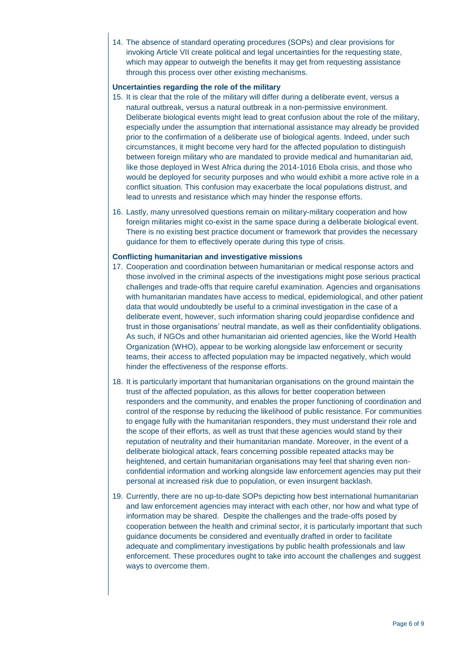14. The absence of standard operating procedures (SOPs) and clear provisions for invoking Article VII create political and legal uncertainties for the requesting state, which may appear to outweigh the benefits it may get from requesting assistance through this process over other existing mechanisms.

## **Uncertainties regarding the role of the military**

- 15. It is clear that the role of the military will differ during a deliberate event, versus a natural outbreak, versus a natural outbreak in a non-permissive environment. Deliberate biological events might lead to great confusion about the role of the military, especially under the assumption that international assistance may already be provided prior to the confirmation of a deliberate use of biological agents. Indeed, under such circumstances, it might become very hard for the affected population to distinguish between foreign military who are mandated to provide medical and humanitarian aid, like those deployed in West Africa during the 2014-1016 Ebola crisis, and those who would be deployed for security purposes and who would exhibit a more active role in a conflict situation. This confusion may exacerbate the local populations distrust, and lead to unrests and resistance which may hinder the response efforts.
- 16. Lastly, many unresolved questions remain on military-military cooperation and how foreign militaries might co-exist in the same space during a deliberate biological event. There is no existing best practice document or framework that provides the necessary guidance for them to effectively operate during this type of crisis.

## **Conflicting humanitarian and investigative missions**

- 17. Cooperation and coordination between humanitarian or medical response actors and those involved in the criminal aspects of the investigations might pose serious practical challenges and trade-offs that require careful examination. Agencies and organisations with humanitarian mandates have access to medical, epidemiological, and other patient data that would undoubtedly be useful to a criminal investigation in the case of a deliberate event, however, such information sharing could jeopardise confidence and trust in those organisations' neutral mandate, as well as their confidentiality obligations. As such, if NGOs and other humanitarian aid oriented agencies, like the World Health Organization (WHO), appear to be working alongside law enforcement or security teams, their access to affected population may be impacted negatively, which would hinder the effectiveness of the response efforts.
- 18. It is particularly important that humanitarian organisations on the ground maintain the trust of the affected population, as this allows for better cooperation between responders and the community, and enables the proper functioning of coordination and control of the response by reducing the likelihood of public resistance. For communities to engage fully with the humanitarian responders, they must understand their role and the scope of their efforts, as well as trust that these agencies would stand by their reputation of neutrality and their humanitarian mandate. Moreover, in the event of a deliberate biological attack, fears concerning possible repeated attacks may be heightened, and certain humanitarian organisations may feel that sharing even nonconfidential information and working alongside law enforcement agencies may put their personal at increased risk due to population, or even insurgent backlash.
- 19. Currently, there are no up-to-date SOPs depicting how best international humanitarian and law enforcement agencies may interact with each other, nor how and what type of information may be shared. Despite the challenges and the trade-offs posed by cooperation between the health and criminal sector, it is particularly important that such guidance documents be considered and eventually drafted in order to facilitate adequate and complimentary investigations by public health professionals and law enforcement. These procedures ought to take into account the challenges and suggest ways to overcome them.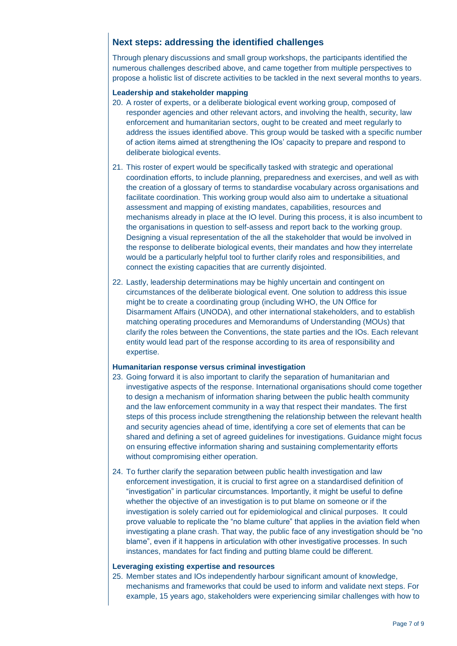## **Next steps: addressing the identified challenges**

Through plenary discussions and small group workshops, the participants identified the numerous challenges described above, and came together from multiple perspectives to propose a holistic list of discrete activities to be tackled in the next several months to years.

## **Leadership and stakeholder mapping**

- 20. A roster of experts, or a deliberate biological event working group, composed of responder agencies and other relevant actors, and involving the health, security, law enforcement and humanitarian sectors, ought to be created and meet regularly to address the issues identified above. This group would be tasked with a specific number of action items aimed at strengthening the IOs' capacity to prepare and respond to deliberate biological events.
- 21. This roster of expert would be specifically tasked with strategic and operational coordination efforts, to include planning, preparedness and exercises, and well as with the creation of a glossary of terms to standardise vocabulary across organisations and facilitate coordination. This working group would also aim to undertake a situational assessment and mapping of existing mandates, capabilities, resources and mechanisms already in place at the IO level. During this process, it is also incumbent to the organisations in question to self-assess and report back to the working group. Designing a visual representation of the all the stakeholder that would be involved in the response to deliberate biological events, their mandates and how they interrelate would be a particularly helpful tool to further clarify roles and responsibilities, and connect the existing capacities that are currently disjointed.
- 22. Lastly, leadership determinations may be highly uncertain and contingent on circumstances of the deliberate biological event. One solution to address this issue might be to create a coordinating group (including WHO, the UN Office for Disarmament Affairs (UNODA), and other international stakeholders, and to establish matching operating procedures and Memorandums of Understanding (MOUs) that clarify the roles between the Conventions, the state parties and the IOs. Each relevant entity would lead part of the response according to its area of responsibility and expertise.

#### **Humanitarian response versus criminal investigation**

- 23. Going forward it is also important to clarify the separation of humanitarian and investigative aspects of the response. International organisations should come together to design a mechanism of information sharing between the public health community and the law enforcement community in a way that respect their mandates. The first steps of this process include strengthening the relationship between the relevant health and security agencies ahead of time, identifying a core set of elements that can be shared and defining a set of agreed guidelines for investigations. Guidance might focus on ensuring effective information sharing and sustaining complementarity efforts without compromising either operation.
- 24. To further clarify the separation between public health investigation and law enforcement investigation, it is crucial to first agree on a standardised definition of "investigation" in particular circumstances. Importantly, it might be useful to define whether the objective of an investigation is to put blame on someone or if the investigation is solely carried out for epidemiological and clinical purposes. It could prove valuable to replicate the "no blame culture" that applies in the aviation field when investigating a plane crash. That way, the public face of any investigation should be "no blame", even if it happens in articulation with other investigative processes. In such instances, mandates for fact finding and putting blame could be different.

#### **Leveraging existing expertise and resources**

25. Member states and IOs independently harbour significant amount of knowledge, mechanisms and frameworks that could be used to inform and validate next steps. For example, 15 years ago, stakeholders were experiencing similar challenges with how to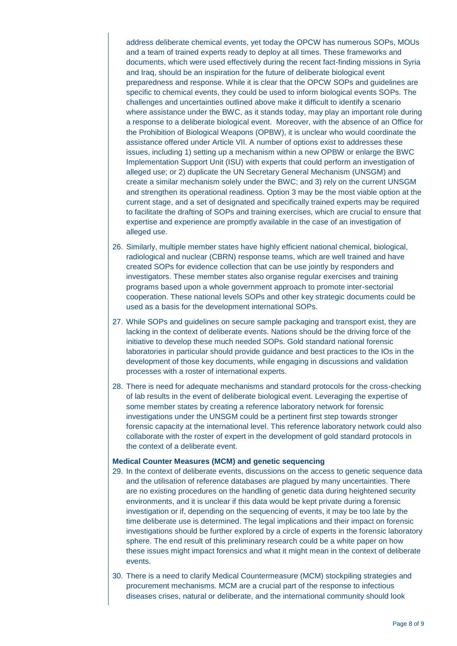address deliberate chemical events, yet today the OPCW has numerous SOPs, MOUs and a team of trained experts ready to deploy at all times. These frameworks and documents, which were used effectively during the recent fact-finding missions in Syria and Iraq, should be an inspiration for the future of deliberate biological event preparedness and response. While it is clear that the OPCW SOPs and guidelines are specific to chemical events, they could be used to inform biological events SOPs. The challenges and uncertainties outlined above make it difficult to identify a scenario where assistance under the BWC, as it stands today, may play an important role during a response to a deliberate biological event. Moreover, with the absence of an Office for the Prohibition of Biological Weapons (OPBW), it is unclear who would coordinate the assistance offered under Article VII. A number of options exist to addresses these issues, including 1) setting up a mechanism within a new OPBW or enlarge the BWC Implementation Support Unit (ISU) with experts that could perform an investigation of alleged use; or 2) duplicate the UN Secretary General Mechanism (UNSGM) and create a similar mechanism solely under the BWC; and 3) rely on the current UNSGM and strengthen its operational readiness. Option 3 may be the most viable option at the current stage, and a set of designated and specifically trained experts may be required to facilitate the drafting of SOPs and training exercises, which are crucial to ensure that expertise and experience are promptly available in the case of an investigation of alleged use.

- 26. Similarly, multiple member states have highly efficient national chemical, biological, radiological and nuclear (CBRN) response teams, which are well trained and have created SOPs for evidence collection that can be use jointly by responders and investigators. These member states also organise regular exercises and training programs based upon a whole government approach to promote inter-sectorial cooperation. These national levels SOPs and other key strategic documents could be used as a basis for the development international SOPs.
- 27. While SOPs and guidelines on secure sample packaging and transport exist, they are lacking in the context of deliberate events. Nations should be the driving force of the initiative to develop these much needed SOPs. Gold standard national forensic laboratories in particular should provide guidance and best practices to the IOs in the development of those key documents, while engaging in discussions and validation processes with a roster of international experts.
- 28. There is need for adequate mechanisms and standard protocols for the cross-checking of lab results in the event of deliberate biological event. Leveraging the expertise of some member states by creating a reference laboratory network for forensic investigations under the UNSGM could be a pertinent first step towards stronger forensic capacity at the international level. This reference laboratory network could also collaborate with the roster of expert in the development of gold standard protocols in the context of a deliberate event.

#### **Medical Counter Measures (MCM) and genetic sequencing**

- 29. In the context of deliberate events, discussions on the access to genetic sequence data and the utilisation of reference databases are plagued by many uncertainties. There are no existing procedures on the handling of genetic data during heightened security environments, and it is unclear if this data would be kept private during a forensic investigation or if, depending on the sequencing of events, it may be too late by the time deliberate use is determined. The legal implications and their impact on forensic investigations should be further explored by a circle of experts in the forensic laboratory sphere. The end result of this preliminary research could be a white paper on how these issues might impact forensics and what it might mean in the context of deliberate events.
- 30. There is a need to clarify Medical Countermeasure (MCM) stockpiling strategies and procurement mechanisms. MCM are a crucial part of the response to infectious diseases crises, natural or deliberate, and the international community should look